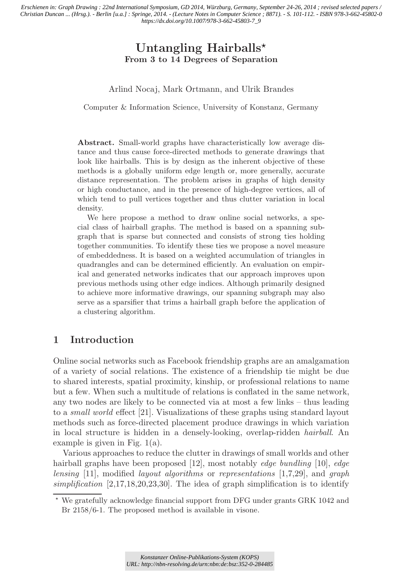*Erschienen in: Graph Drawing : 22nd International Symposium, GD 2014, Würzburg, Germany, September 24-26, 2014 ; revised selected papers / Christian Duncan ... (Hrsg.). - Berlin [u.a.] : Springe, 2014. - (Lecture Notes in Computer Science ; 8871). - S. 101-112. - ISBN 978-3-662-45802-0 https://dx.doi.org/10.1007/978-3-662-45803-7\_9*

# **Untangling Hairballs***-***From 3 to 14 Degrees of Separation**

### Arlind Nocaj, Mark Ortmann, and Ulrik Brandes

Computer & Information Science, University of Konstanz, Germany

**Abstract.** Small-world graphs have characteristically low average distance and thus cause force-directed methods to generate drawings that look like hairballs. This is by design as the inherent objective of these methods is a globally uniform edge length or, more generally, accurate distance representation. The problem arises in graphs of high density or high conductance, and in the presence of high-degree vertices, all of which tend to pull vertices together and thus clutter variation in local density.

We here propose a method to draw online social networks, a special class of hairball graphs. The method is based on a spanning subgraph that is sparse but connected and consists of strong ties holding together communities. To identify these ties we propose a novel measure of embeddedness. It is based on a weighted accumulation of triangles in quadrangles and can be determined efficiently. An evaluation on empirical and generated networks indicates that our approach improves upon previous methods using other edge indices. Although primarily designed to achieve more informative drawings, our spanning subgraph may also serve as a sparsifier that trims a hairball graph before the application of a clustering algorithm.

# **1 Introduction**

Online social networks such as Facebook friendship graphs are an amalgamation of a variety of social relations. The existence of a friendship tie might be due to shared interests, spatial proximity, kinship, or professional relations to name but a few. When such a multitude of relations is conflated in the same network, any two nodes are likely to be connected via at most a few links – thus leading to a *small world* effect [21]. Visualizations of these graphs using standard layout methods such as force-directed placement produce drawings in which variation in local structure is hidden in a densely-looking, overlap-ridden *hairball*. An example is given in Fig.  $1(a)$ .

Various approaches to reduce the clutter in drawings of small worlds and other hairball graphs have been proposed [12], most notably *edge bundling* [10], *edge lensing* [11], modified *layout algorithms* or *representations* [1,7,29], and *graph simplification* [2,17,18,20,23,30]. The idea of graph simplification is to identify

<sup>-</sup> We gratefully acknowledge financial support from DFG under grants GRK 1042 and Br 2158/6-1. The proposed method is available in visone.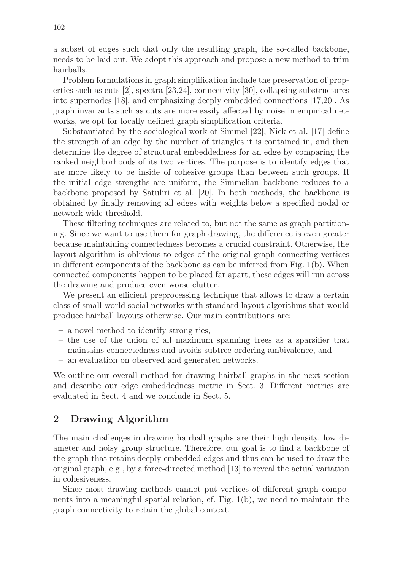a subset of edges such that only the resulting graph, the so-called backbone, needs to be laid out. We adopt this approach and propose a new method to trim hairballs.

Problem formulations in graph simplification include the preservation of properties such as cuts [2], spectra [23,24], connectivity [30], collapsing substructures into supernodes [18], and emphasizing deeply embedded connections [17,20]. As graph invariants such as cuts are more easily affected by noise in empirical networks, we opt for locally defined graph simplification criteria.

Substantiated by the sociological work of Simmel [22], Nick et al. [17] define the strength of an edge by the number of triangles it is contained in, and then determine the degree of structural embeddedness for an edge by comparing the ranked neighborhoods of its two vertices. The purpose is to identify edges that are more likely to be inside of cohesive groups than between such groups. If the initial edge strengths are uniform, the Simmelian backbone reduces to a backbone proposed by Satuliri et al. [20]. In both methods, the backbone is obtained by finally removing all edges with weights below a specified nodal or network wide threshold.

These filtering techniques are related to, but not the same as graph partitioning. Since we want to use them for graph drawing, the difference is even greater because maintaining connectedness becomes a crucial constraint. Otherwise, the layout algorithm is oblivious to edges of the original graph connecting vertices in different components of the backbone as can be inferred from Fig. 1(b). When connected components happen to be placed far apart, these edges will run across the drawing and produce even worse clutter.

We present an efficient preprocessing technique that allows to draw a certain class of small-world social networks with standard layout algorithms that would produce hairball layouts otherwise. Our main contributions are:

- **–** a novel method to identify strong ties,
- **–** the use of the union of all maximum spanning trees as a sparsifier that maintains connectedness and avoids subtree-ordering ambivalence, and
- **–** an evaluation on observed and generated networks.

We outline our overall method for drawing hairball graphs in the next section and describe our edge embeddedness metric in Sect. 3. Different metrics are evaluated in Sect. 4 and we conclude in Sect. 5.

# **2 Drawing Algorithm**

The main challenges in drawing hairball graphs are their high density, low diameter and noisy group structure. Therefore, our goal is to find a backbone of the graph that retains deeply embedded edges and thus can be used to draw the original graph, e.g., by a force-directed method [13] to reveal the actual variation in cohesiveness.

Since most drawing methods cannot put vertices of different graph components into a meaningful spatial relation, cf. Fig. 1(b), we need to maintain the graph connectivity to retain the global context.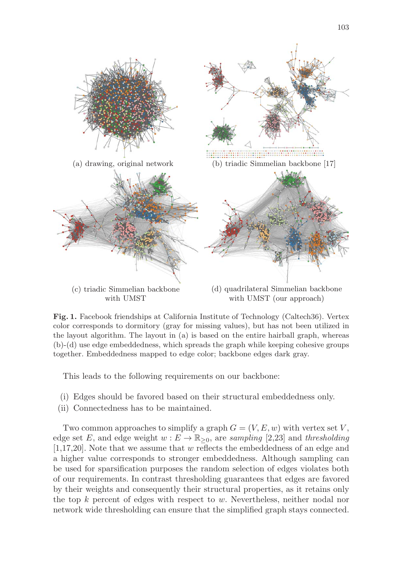

**Fig. 1.** Facebook friendships at California Institute of Technology (Caltech36). Vertex color corresponds to dormitory (gray for missing values), but has not been utilized in the layout algorithm. The layout in (a) is based on the entire hairball graph, whereas (b)-(d) use edge embeddedness, which spreads the graph while keeping cohesive groups together. Embeddedness mapped to edge color; backbone edges dark gray.

This leads to the following requirements on our backbone:

- (i) Edges should be favored based on their structural embeddedness only.
- (ii) Connectedness has to be maintained.

Two common approaches to simplify a graph  $G = (V, E, w)$  with vertex set V, edge set E, and edge weight  $w : E \to \mathbb{R}_{\geq 0}$ , are *sampling* [2,23] and *thresholding* [1,17,20]. Note that we assume that w reflects the embeddedness of an edge and a higher value corresponds to stronger embeddedness. Although sampling can be used for sparsification purposes the random selection of edges violates both of our requirements. In contrast thresholding guarantees that edges are favored by their weights and consequently their structural properties, as it retains only the top k percent of edges with respect to w. Nevertheless, neither nodal nor network wide thresholding can ensure that the simplified graph stays connected.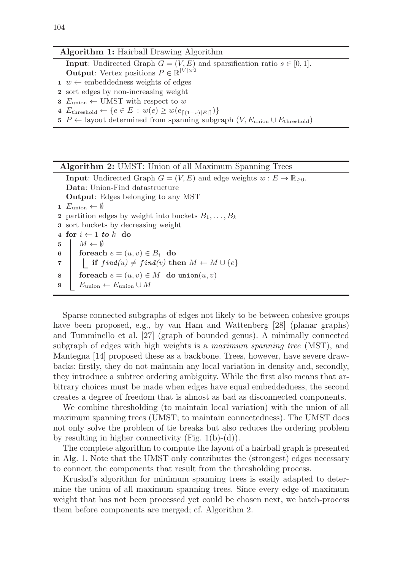#### **Algorithm 1:** Hairball Drawing Algorithm

**Input**: Undirected Graph  $G = (V, E)$  and sparsification ratio  $s \in [0, 1]$ . **Output**: Vertex positions  $P \in \mathbb{R}^{|V| \times 2}$ 

- **1**  $w \leftarrow$  embeddedness weights of edges
- **2** sort edges by non-increasing weight
- **3**  $E_{\text{union}} \leftarrow \text{UMST with respect to } w$
- **4**  $E_{\text{threshold}} \leftarrow \{e \in E : w(e) \geq w(e_{\lceil(1-s)|E|\rceil})\}$
- **5**  $P \leftarrow$  layout determined from spanning subgraph  $(V, E_{\text{union}} \cup E_{\text{threshold}})$

| <b>Algorithm 2:</b> UMST: Union of all Maximum Spanning Trees                                  |  |
|------------------------------------------------------------------------------------------------|--|
| <b>Input:</b> Undirected Graph $G = (V, E)$ and edge weights $w : E \to \mathbb{R}_{\geq 0}$ . |  |
| Data: Union-Find datastructure                                                                 |  |
| <b>Output:</b> Edges belonging to any MST                                                      |  |
| 1 $E_{\text{union}} \leftarrow \emptyset$                                                      |  |
| 2 partition edges by weight into buckets $B_1, \ldots, B_k$                                    |  |
| <b>3</b> sort buckets by decreasing weight                                                     |  |
| 4 for $i \leftarrow 1$ to k do                                                                 |  |
| $M \leftarrow \emptyset$<br>5                                                                  |  |
| for each $e = (u, v) \in B_i$ do<br>6                                                          |  |
| <b>if</b> $find(u) \neq find(v)$ then $M \leftarrow M \cup \{e\}$<br>7                         |  |
| for each $e = (u, v) \in M$ do union $(u, v)$<br>8                                             |  |
| $E_{\rm union} \leftarrow E_{\rm union} \cup M$<br>9                                           |  |

Sparse connected subgraphs of edges not likely to be between cohesive groups have been proposed, e.g., by van Ham and Wattenberg [28] (planar graphs) and Tumminello et al. [27] (graph of bounded genus). A minimally connected subgraph of edges with high weights is a *maximum spanning tree* (MST), and Mantegna [14] proposed these as a backbone. Trees, however, have severe drawbacks: firstly, they do not maintain any local variation in density and, secondly, they introduce a subtree ordering ambiguity. While the first also means that arbitrary choices must be made when edges have equal embeddedness, the second creates a degree of freedom that is almost as bad as disconnected components.

We combine thresholding (to maintain local variation) with the union of all maximum spanning trees (UMST; to maintain connectedness). The UMST does not only solve the problem of tie breaks but also reduces the ordering problem by resulting in higher connectivity (Fig.  $1(b)-(d)$ ).

The complete algorithm to compute the layout of a hairball graph is presented in Alg. 1. Note that the UMST only contributes the (strongest) edges necessary to connect the components that result from the thresholding process.

Kruskal's algorithm for minimum spanning trees is easily adapted to determine the union of all maximum spanning trees. Since every edge of maximum weight that has not been processed yet could be chosen next, we batch-process them before components are merged; cf. Algorithm 2.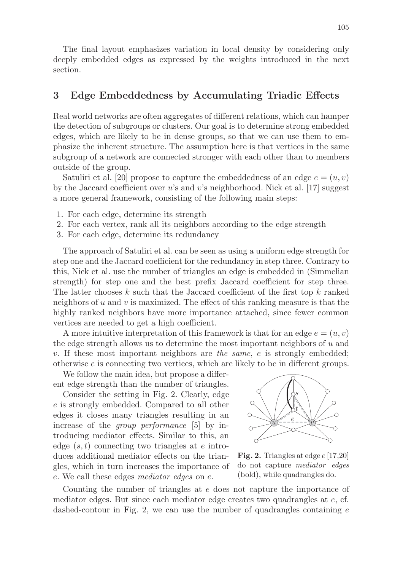The final layout emphasizes variation in local density by considering only deeply embedded edges as expressed by the weights introduced in the next section.

## **3 Edge Embeddedness by Accumulating Triadic Effects**

Real world networks are often aggregates of different relations, which can hamper the detection of subgroups or clusters. Our goal is to determine strong embedded edges, which are likely to be in dense groups, so that we can use them to emphasize the inherent structure. The assumption here is that vertices in the same subgroup of a network are connected stronger with each other than to members outside of the group.

Satuliri et al. [20] propose to capture the embeddedness of an edge  $e = (u, v)$ by the Jaccard coefficient over u's and v's neighborhood. Nick et al. [17] suggest a more general framework, consisting of the following main steps:

- 1. For each edge, determine its strength
- 2. For each vertex, rank all its neighbors according to the edge strength
- 3. For each edge, determine its redundancy

The approach of Satuliri et al. can be seen as using a uniform edge strength for step one and the Jaccard coefficient for the redundancy in step three. Contrary to this, Nick et al. use the number of triangles an edge is embedded in (Simmelian strength) for step one and the best prefix Jaccard coefficient for step three. The latter chooses  $k$  such that the Jaccard coefficient of the first top  $k$  ranked neighbors of u and v is maximized. The effect of this ranking measure is that the highly ranked neighbors have more importance attached, since fewer common vertices are needed to get a high coefficient.

A more intuitive interpretation of this framework is that for an edge  $e = (u, v)$ the edge strength allows us to determine the most important neighbors of  $u$  and v. If these most important neighbors are *the same*, e is strongly embedded; otherwise e is connecting two vertices, which are likely to be in different groups.

We follow the main idea, but propose a different edge strength than the number of triangles.

Consider the setting in Fig. 2. Clearly, edge e is strongly embedded. Compared to all other edges it closes many triangles resulting in an increase of the *group performance* [5] by introducing mediator effects. Similar to this, an edge  $(s, t)$  connecting two triangles at e introduces additional mediator effects on the triangles, which in turn increases the importance of e. We call these edges *mediator edges* on e.



**Fig. 2.** Triangles at edge  $e$  [17,20] do not capture mediator edges (bold), while quadrangles do.

Counting the number of triangles at e does not capture the importance of mediator edges. But since each mediator edge creates two quadrangles at e, cf. dashed-contour in Fig. 2, we can use the number of quadrangles containing  $e$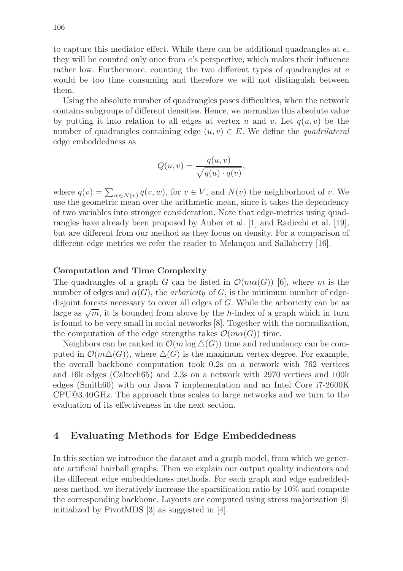to capture this mediator effect. While there can be additional quadrangles at e, they will be counted only once from e's perspective, which makes their influence rather low. Furthermore, counting the two different types of quadrangles at e would be too time consuming and therefore we will not distinguish between them.

Using the absolute number of quadrangles poses difficulties, when the network contains subgroups of different densities. Hence, we normalize this absolute value by putting it into relation to all edges at vertex u and v. Let  $q(u, v)$  be the number of quadrangles containing edge  $(u, v) \in E$ . We define the *quadrilateral* edge embeddedness as

$$
Q(u, v) = \frac{q(u, v)}{\sqrt{q(u) \cdot q(v)}},
$$

where  $q(v) = \sum_{w \in N(v)} q(v, w)$ , for  $v \in V$ , and  $N(v)$  the neighborhood of v. We use the geometric mean over the arithmetic mean, since it takes the dependency of two variables into stronger consideration. Note that edge-metrics using quadrangles have already been proposed by Auber et al. [1] and Radicchi et al. [19], but are different from our method as they focus on density. For a comparison of different edge metrics we refer the reader to Melançon and Sallaberry [16].

#### **Computation and Time Complexity**

The quadrangles of a graph G can be listed in  $\mathcal{O}(m\alpha(G))$  [6], where m is the number of edges and  $\alpha(G)$ , the *arboricity* of G, is the minimum number of edgedisjoint forests necessary to cover all edges of G. While the arboricity can be as large as  $\sqrt{m}$ , it is bounded from above by the h-index of a graph which in turn is found to be very small in social networks [8]. Together with the normalization, the computation of the edge strengths takes  $\mathcal{O}(m\alpha(G))$  time.

Neighbors can be ranked in  $\mathcal{O}(m \log \Delta(G))$  time and redundancy can be computed in  $\mathcal{O}(m\Delta(G))$ , where  $\Delta(G)$  is the maximum vertex degree. For example, the overall backbone computation took 0.2s on a network with 762 vertices and 16k edges (Caltech65) and 2.3s on a network with 2970 vertices and 100k edges (Smith60) with our Java 7 implementation and an Intel Core i7-2600K CPU@3.40GHz. The approach thus scales to large networks and we turn to the evaluation of its effectiveness in the next section.

### **4 Evaluating Methods for Edge Embeddedness**

In this section we introduce the dataset and a graph model, from which we generate artificial hairball graphs. Then we explain our output quality indicators and the different edge embeddedness methods. For each graph and edge embeddedness method, we iteratively increase the sparsification ratio by 10% and compute the corresponding backbone. Layouts are computed using stress majorization [9] initialized by PivotMDS [3] as suggested in [4].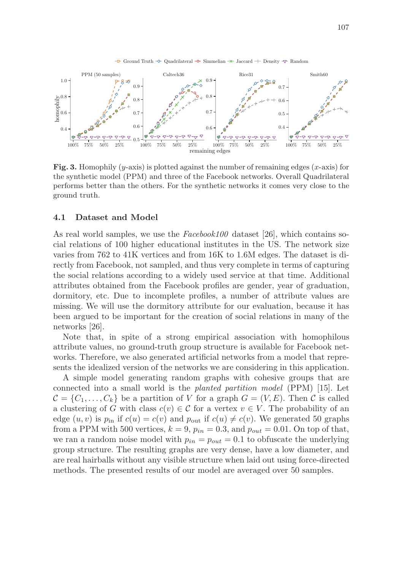

**Fig. 3.** Homophily (y-axis) is plotted against the number of remaining edges  $(x$ -axis) for the synthetic model (PPM) and three of the Facebook networks. Overall Quadrilateral performs better than the others. For the synthetic networks it comes very close to the ground truth.

#### **4.1 Dataset and Model**

As real world samples, we use the *Facebook100* dataset [26], which contains social relations of 100 higher educational institutes in the US. The network size varies from 762 to 41K vertices and from 16K to 1.6M edges. The dataset is directly from Facebook, not sampled, and thus very complete in terms of capturing the social relations according to a widely used service at that time. Additional attributes obtained from the Facebook profiles are gender, year of graduation, dormitory, etc. Due to incomplete profiles, a number of attribute values are missing. We will use the dormitory attribute for our evaluation, because it has been argued to be important for the creation of social relations in many of the networks [26].

Note that, in spite of a strong empirical association with homophilous attribute values, no ground-truth group structure is available for Facebook networks. Therefore, we also generated artificial networks from a model that represents the idealized version of the networks we are considering in this application.

A simple model generating random graphs with cohesive groups that are connected into a small world is the *planted partition model* (PPM) [15]. Let  $\mathcal{C} = \{C_1, \ldots, C_k\}$  be a partition of V for a graph  $G = (V, E)$ . Then C is called a clustering of G with class  $c(v) \in \mathcal{C}$  for a vertex  $v \in V$ . The probability of an edge  $(u, v)$  is  $p_{\text{in}}$  if  $c(u) = c(v)$  and  $p_{\text{out}}$  if  $c(u) \neq c(v)$ . We generated 50 graphs from a PPM with 500 vertices,  $k = 9$ ,  $p_{in} = 0.3$ , and  $p_{out} = 0.01$ . On top of that, we ran a random noise model with  $p_{in} = p_{out} = 0.1$  to obfuscate the underlying group structure. The resulting graphs are very dense, have a low diameter, and are real hairballs without any visible structure when laid out using force-directed methods. The presented results of our model are averaged over 50 samples.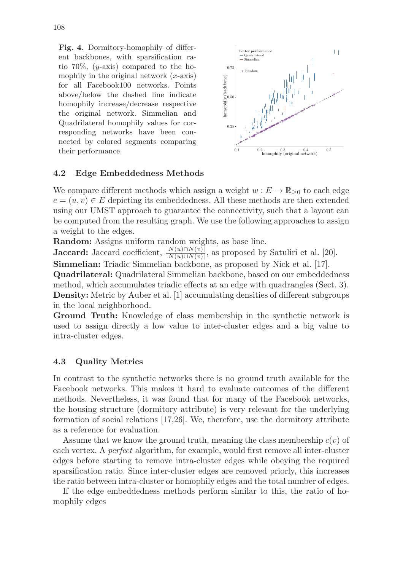**Fig. 4.** Dormitory-homophily of different backbones, with sparsification ratio 70%,  $(y\text{-axis})$  compared to the homophily in the original network  $(x\text{-axis})$ for all Facebook100 networks. Points above/below the dashed line indicate homophily increase/decrease respective the original network. Simmelian and Quadrilateral homophily values for corresponding networks have been connected by colored segments comparing their performance.



### **4.2 Edge Embeddedness Methods**

We compare different methods which assign a weight  $w : E \to \mathbb{R}_{\geq 0}$  to each edge  $e = (u, v) \in E$  depicting its embeddedness. All these methods are then extended using our UMST approach to guarantee the connectivity, such that a layout can be computed from the resulting graph. We use the following approaches to assign a weight to the edges.

**Random:** Assigns uniform random weights, as base line.

**Jaccard:** Jaccard coefficient,  $\frac{|N(u) \cap N(v)|}{|N(u) \cup N(v)|}$ , as proposed by Satuliri et al. [20]. **Simmelian:** Triadic Simmelian backbone, as proposed by Nick et al. [17].

**Quadrilateral:** Quadrilateral Simmelian backbone, based on our embeddedness method, which accumulates triadic effects at an edge with quadrangles (Sect. 3). **Density:** Metric by Auber et al. [1] accumulating densities of different subgroups in the local neighborhood.

**Ground Truth:** Knowledge of class membership in the synthetic network is used to assign directly a low value to inter-cluster edges and a big value to intra-cluster edges.

### **4.3 Quality Metrics**

In contrast to the synthetic networks there is no ground truth available for the Facebook networks. This makes it hard to evaluate outcomes of the different methods. Nevertheless, it was found that for many of the Facebook networks, the housing structure (dormitory attribute) is very relevant for the underlying formation of social relations [17,26]. We, therefore, use the dormitory attribute as a reference for evaluation.

Assume that we know the ground truth, meaning the class membership  $c(v)$  of each vertex. A *perfect* algorithm, for example, would first remove all inter-cluster edges before starting to remove intra-cluster edges while obeying the required sparsification ratio. Since inter-cluster edges are removed priorly, this increases the ratio between intra-cluster or homophily edges and the total number of edges.

If the edge embeddedness methods perform similar to this, the ratio of homophily edges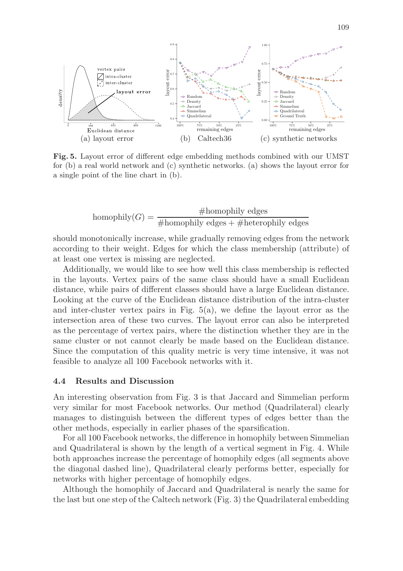

**Fig. 5.** Layout error of different edge embedding methods combined with our UMST for (b) a real world network and (c) synthetic networks. (a) shows the layout error for a single point of the line chart in (b).

$$
homophily(G) = \frac{\#homophily \ edges}{\# homophily \ edges + \# heterophily \ edges}
$$

should monotonically increase, while gradually removing edges from the network according to their weight. Edges for which the class membership (attribute) of at least one vertex is missing are neglected.

Additionally, we would like to see how well this class membership is reflected in the layouts. Vertex pairs of the same class should have a small Euclidean distance, while pairs of different classes should have a large Euclidean distance. Looking at the curve of the Euclidean distance distribution of the intra-cluster and inter-cluster vertex pairs in Fig. 5(a), we define the layout error as the intersection area of these two curves. The layout error can also be interpreted as the percentage of vertex pairs, where the distinction whether they are in the same cluster or not cannot clearly be made based on the Euclidean distance. Since the computation of this quality metric is very time intensive, it was not feasible to analyze all 100 Facebook networks with it.

#### **4.4 Results and Discussion**

An interesting observation from Fig. 3 is that Jaccard and Simmelian perform very similar for most Facebook networks. Our method (Quadrilateral) clearly manages to distinguish between the different types of edges better than the other methods, especially in earlier phases of the sparsification.

For all 100 Facebook networks, the difference in homophily between Simmelian and Quadrilateral is shown by the length of a vertical segment in Fig. 4. While both approaches increase the percentage of homophily edges (all segments above the diagonal dashed line), Quadrilateral clearly performs better, especially for networks with higher percentage of homophily edges.

Although the homophily of Jaccard and Quadrilateral is nearly the same for the last but one step of the Caltech network (Fig. 3) the Quadrilateral embedding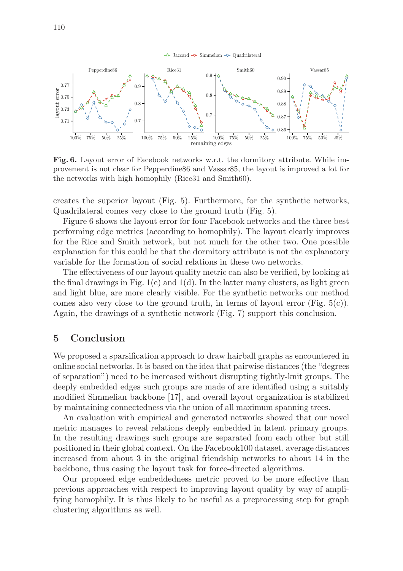$\rightarrow$  Jaccard  $\rightarrow$  Simmelian  $\rightarrow$  Quadrilateral



**Fig. 6.** Layout error of Facebook networks w.r.t. the dormitory attribute. While improvement is not clear for Pepperdine86 and Vassar85, the layout is improved a lot for the networks with high homophily (Rice31 and Smith60).

creates the superior layout (Fig. 5). Furthermore, for the synthetic networks, Quadrilateral comes very close to the ground truth (Fig. 5).

Figure 6 shows the layout error for four Facebook networks and the three best performing edge metrics (according to homophily). The layout clearly improves for the Rice and Smith network, but not much for the other two. One possible explanation for this could be that the dormitory attribute is not the explanatory variable for the formation of social relations in these two networks.

The effectiveness of our layout quality metric can also be verified, by looking at the final drawings in Fig.  $1(c)$  and  $1(d)$ . In the latter many clusters, as light green and light blue, are more clearly visible. For the synthetic networks our method comes also very close to the ground truth, in terms of layout error (Fig.  $5(c)$ ). Again, the drawings of a synthetic network (Fig. 7) support this conclusion.

# **5 Conclusion**

We proposed a sparsification approach to draw hairball graphs as encountered in online social networks. It is based on the idea that pairwise distances (the "degrees of separation") need to be increased without disrupting tightly-knit groups. The deeply embedded edges such groups are made of are identified using a suitably modified Simmelian backbone [17], and overall layout organization is stabilized by maintaining connectedness via the union of all maximum spanning trees.

An evaluation with empirical and generated networks showed that our novel metric manages to reveal relations deeply embedded in latent primary groups. In the resulting drawings such groups are separated from each other but still positioned in their global context. On the Facebook100 dataset, average distances increased from about 3 in the original friendship networks to about 14 in the backbone, thus easing the layout task for force-directed algorithms.

Our proposed edge embeddedness metric proved to be more effective than previous approaches with respect to improving layout quality by way of amplifying homophily. It is thus likely to be useful as a preprocessing step for graph clustering algorithms as well.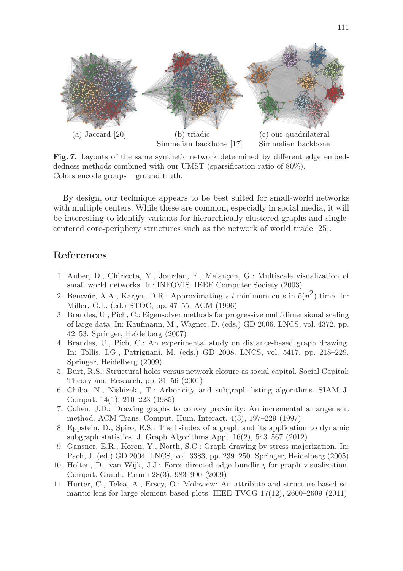

**Fig. 7.** Layouts of the same synthetic network determined by different edge embeddedness methods combined with our UMST (sparsification ratio of 80%). Colors encode groups – ground truth.

By design, our technique appears to be best suited for small-world networks with multiple centers. While these are common, especially in social media, it will be interesting to identify variants for hierarchically clustered graphs and singlecentered core-periphery structures such as the network of world trade [25].

### **References**

- 1. Auber, D., Chiricota, Y., Jourdan, F., Melançon, G.: Multiscale visualization of small world networks. In: INFOVIS. IEEE Computer Society (2003)
- 2. Benczúr, A.A., Karger, D.R.: Approximating s-t minimum cuts in  $\tilde{o}(n^2)$  time. In: Miller, G.L. (ed.) STOC, pp. 47–55. ACM (1996)
- 3. Brandes, U., Pich, C.: Eigensolver methods for progressive multidimensional scaling of large data. In: Kaufmann, M., Wagner, D. (eds.) GD 2006. LNCS, vol. 4372, pp. 42–53. Springer, Heidelberg (2007)
- 4. Brandes, U., Pich, C.: An experimental study on distance-based graph drawing. In: Tollis, I.G., Patrignani, M. (eds.) GD 2008. LNCS, vol. 5417, pp. 218–229. Springer, Heidelberg (2009)
- 5. Burt, R.S.: Structural holes versus network closure as social capital. Social Capital: Theory and Research, pp. 31–56 (2001)
- 6. Chiba, N., Nishizeki, T.: Arboricity and subgraph listing algorithms. SIAM J. Comput. 14(1), 210–223 (1985)
- 7. Cohen, J.D.: Drawing graphs to convey proximity: An incremental arrangement method. ACM Trans. Comput.-Hum. Interact. 4(3), 197–229 (1997)
- 8. Eppstein, D., Spiro, E.S.: The h-index of a graph and its application to dynamic subgraph statistics. J. Graph Algorithms Appl. 16(2), 543–567 (2012)
- 9. Gansner, E.R., Koren, Y., North, S.C.: Graph drawing by stress majorization. In: Pach, J. (ed.) GD 2004. LNCS, vol. 3383, pp. 239–250. Springer, Heidelberg (2005)
- 10. Holten, D., van Wijk, J.J.: Force-directed edge bundling for graph visualization. Comput. Graph. Forum 28(3), 983–990 (2009)
- 11. Hurter, C., Telea, A., Ersoy, O.: Moleview: An attribute and structure-based semantic lens for large element-based plots. IEEE TVCG 17(12), 2600–2609 (2011)